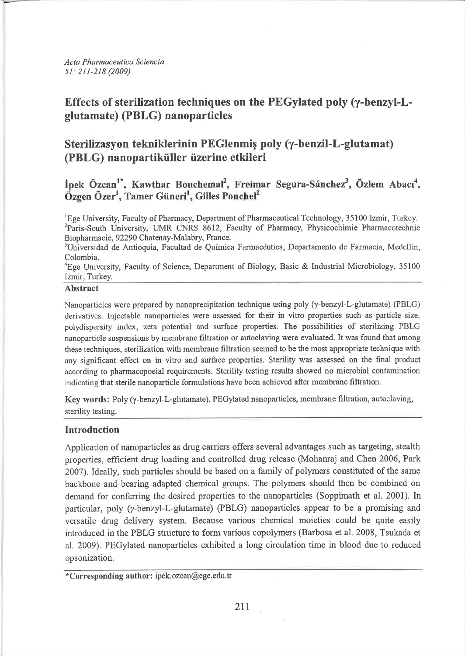Acta Pharmaceutica Sciencia 51: 211-218 (2009)

# Effects of sterilization techniques on the PEGylated poly (y-benzyl-Lglutamate) (PBLG) nanoparticles

# Sterilizasvon tekniklerinin PEGlenmis poly (y-benzil-L-glutamat) (PBLG) nanopartiküller üzerine etkileri

İpek Özcan<sup>1\*</sup>, Kawthar Bouchemal<sup>2</sup>, Freimar Segura-Sánchez<sup>3</sup>, Özlem Abacı<sup>4</sup>, Özgen Özer<sup>1</sup>, Tamer Güneri<sup>1</sup>, Gilles Ponchel<sup>2</sup>

<sup>1</sup>Ege University, Faculty of Pharmacy, Department of Pharmaceutical Technology, 35100 Izmir, Turkey. <sup>2</sup>Paris-South University, UMR CNRS 8612, Faculty of Pharmacy, Physicochimie Pharmacotechnie Biopharmacie, 92290 Chatenay-Malabry, France.

<sup>3</sup>Universidad de Antioquia, Facultad de Química Farmacéutica, Departamento de Farmacia, Medellín, Colombia.

<sup>4</sup>Ege University, Faculty of Science, Department of Biology, Basic & Industrial Microbiology, 35100 Izmir, Turkey.

# Abstract

Nanoparticles were prepared by nanoprecipitation technique using poly  $(\gamma$ -benzyl-L-glutamate) (PBLG) derivatives. Injectable nanoparticles were assessed for their in vitro properties such as particle size, polydispersity index, zeta potential and surface properties. The possibilities of sterilizing PBLG nanoparticle suspensions by membrane filtration or autoclaving were evaluated. It was found that among these techniques, sterilization with membrane filtration seemed to be the most appropriate technique with any significant effect on in vitro and surface properties. Sterility was assessed on the final product according to pharmacopoeial requirements. Sterility testing results showed no microbial contamination indicating that sterile nanoparticle formulations have been achieved after membrane filtration.

Key words: Poly (y-benzyl-L-glutamate), PEGylated nanoparticles, membrane filtration, autoclaving, sterility testing.

# Introduction

Application of nanoparticles as drug carriers offers several advantages such as targeting, stealth properties, efficient drug loading and controlled drug release (Mohanraj and Chen 2006, Park 2007). Ideally, such particles should be based on a family of polymers constituted of the same backbone and bearing adapted chemical groups. The polymers should then be combined on demand for conferring the desired properties to the nanoparticles (Soppimath et al. 2001). In particular, poly ( $y$ -benzyl-L-glutamate) (PBLG) nanoparticles appear to be a promising and versatile drug delivery system. Because various chemical moieties could be quite easily introduced in the PBLG structure to form various copolymers (Barbosa et al. 2008, Tsukada et al. 2009). PEGylated nanoparticles exhibited a long circulation time in blood due to reduced opsonization.

<sup>\*</sup>Corresponding author: ipek.ozcan@ege.edu.tr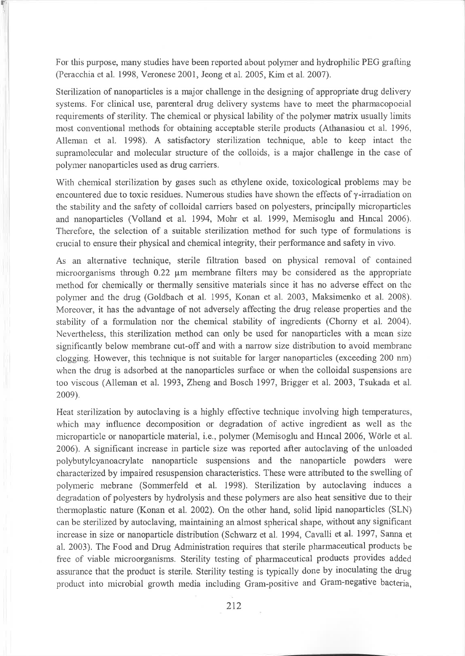For this purpose, many studies have been reported about polymer and hydrophilic PEG grafting (Peracchia et al. 1998, Veronese 2001, Jeong et al. 2005, Kim et al.2007).

T

Sterilization of nanoparticles is a major challenge in the designing of appropriate drug delivery systems. For clinical use, parenteral drug delivery systems have to meet the pharmacopoeial requirements of sterility. The chemical or physical lability of the polymer matrix usually limits most conventional methods for obtaining acceptable sterile products (Athanasiou et al. 1996, Alleman et al. 1998). A satisfactory sterilization technique, able to keep intact the supramolecular and molecular structure of the colloids, is a major challenge in the case of polyıırer nanoparticles used as drug carriers.

With chemical sterilization by gases such as ethylene oxide, toxicological problems may be encountered due to toxic residues. Numerous studies have shown the effects of y-irradiation on the stability and the safety of colloidal carriers based on polyesters, principally microparticles and nanoparticles (Volland et al. 1994, Mohr et al. 1999, Memisoglu and Hincal 2006). Therefore, the selection of a suitable sterilization method for such type of formulations is crucial to ensure their physical and chemical integrity, their performance and safety in vivo.

As an alternative technique, sterile filtration based on physical removal of contained microorganisms through  $0.22 \mu m$  membrane filters may be considered as the appropriate method for chemically or thermally sensitive materials since it has no adverse effect on the polymer and the drug (Goldbach et al. 1995, Konan et al. 2003, Maksimenko et al. 2008). Moreover, it has the advantage of not adversely affecting the drug release properties and the stability of a formulation nor the chemical stability of ingredients (Chorny et al. 2004). Nevertheless, this sterilization method can only be used for nanoparticles with a mean size significantly below membrane cut-off and with a narrow size distribution to avoid membrane clogging. However, this technique is not suitable for larger nanoparticles (exceeding 200 nm) when the drug is adsorbed at the nanoparticles surface or when the colloidal suspensions are too viscous (Alleman et al. 1993, Zheng and Bosch 1997, Brigger et al. 2003, Tsukada et al. 2009).

Heat sterilization by autoclaving is a highly effective technique involving high temperatures, which may influence decomposition or degradation of active ingredient as well as the microparticle or nanoparticle material, i.e., polymer (Memisoglu and Hıncal 2006, Wörle et al. 2006). A significant increase in particle size was reported after autoclaving of the unloaded polybutylcyanoacrylate nanoparticle suspensions and the nanoparticle powders were characterized by impaired resuspension characteristics. These were attributed to the swelling of polyııeric ııebrane (Sommerfeld et al. 1998). Sterilization by autoclaving induces <sup>a</sup> degradation of polyesters by hydrolysis and these polymers are also heat sensitive due to their thermoplastic nature (Konan et al. 2002). On the other hand, solid lipid nanoparticles (SLN) can be sterilized by autoclaving, maintaining an almost spherical shape, without any significant increase in size or nanoparticle distribution (Schwarz et al. 1994, Cavalli et al. 1997, Sanna et al. 2003). The Food and Drug Administration requires that sterile pharmaceutical products be free of viable microorganisms. Sterility testing of pharmaceutical products provides added assurance that the product is sterile. Sterility testing is typically done by inoculating the drug product into microbial growth media including Gram-positive and Gram-negative bacteria,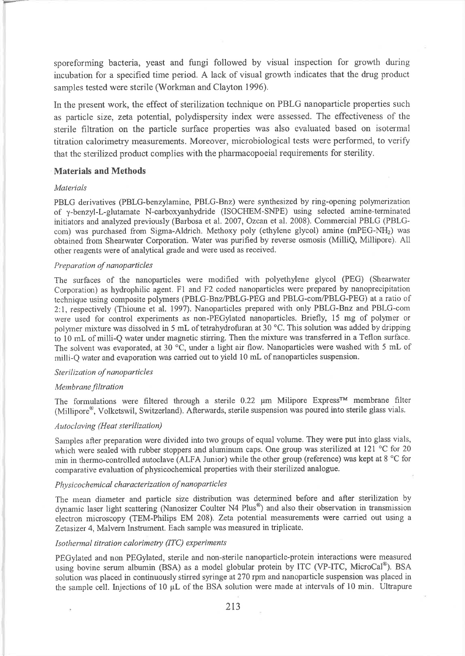sporeforming bacteria, yeast and fungi followed by visual inspection for growth during incubation for a specified time period. A lack of visual growth indicates that the drug product samples tested were sterile (Workman and Clayton 1996).

In the present work, the effect of sterilization technique on PBLG nanoparticle properties such as particle size, zeta potential, polydispersity index were assessed. The effectiveness of the sterile filtration on the particle surface properties was also evaluated based on isoterııal titration calorimetry measurements. Moreover, microbiological tests were performed, to verify that the sterilized product complies with the pharmacopoeial requirements for sterility.

### Materials and Methods

#### Materials

PBLG derivatives (PBlG-benzylamine; PBLG-Bnz) were synthesized by ring-opening polymerization of y-benzyl-L-glutamate N-carboxyanhydride (ISOCIIEM-SNPE) using selected amine-terminated initiators and analyzed previously (Barbosa et al. 2007, Ozcan et al. 2008). Commercial PBLG (PBLGcom) was purchased from Sigma-Aldrich. Methoxy poly (ethylene glycol) amine  $(mPEG-NH<sub>2</sub>)$  was obtained from Shearwater Corporation. Water was purified by reverse osmosis (MilliQ, Millipore). All other reagents were of analytical grade and were used as received.

#### Preparation of nanoparticles

The surfaces of the nanoparticles were ınodified with polyethylene glycol (PEG) (Shearwater Corporation) as hydrophilic agent. Fl and F2 coded nanoparticles were prepared by nanoprecipitation technique using composite polymers (PBLG-Bnz/PBLG-PEG and PBLG-com/PBLG-PEG) at a ratio of 2:1, respectively (Thioune et al. 1997). Nanoparticles prepared with only PBLG-Bnz and PBLG-com were used for control experiınents as non-PEGylated nanoparticles. Briefly, 15 mg of polyner or polymer mixture was dissolved in 5 mL of tetrahydrofuran at 30 °C. This solution was added by dripping to 10 mL of milli-Q water under magnetic stirring. Then the mixture was transferred in a Teflon surface. The solvent was evaporated, at 30  $^{\circ}$ C, under a light air flow. Nanoparticles were washed with 5 mL of ınilli-Q water and evaporation was carried out to yield 10 ııL of nanoparticles suspension.

#### Sterilization of nanoparticles

#### Membrane filtration

The formulations were filtered through a sterile 0.22 µm Milipore Express™ membrane filter (Millipore<sup>®</sup>, Volketswil, Switzerland). Afterwards, sterile suspension was poured into sterile glass vials.

#### Autoclaving (Heat sterilization)

Samples after preparation were divided into two groups of equal volume. They were put into glass vials, which were sealed with rubber stoppers and aluminum caps. One group was sterilized at 121 °C for 20 min in thermo-controlled autoclave (ALFA Junior) while the other group (reference) was kept at 8 °C for coınparative evaluation of physicochemical properties with their sterilized analogue.

# Physicochemical characterization of nanoparticles

The mean diameter and particle size distribution was determined before and after sterilization by dynamic laser light scattering (Nanosizer Coulter N4 Plus<sup>®</sup>) and also their observation in transmission electron microscopy (TEM-Philips EM 208). Zeta potential measurements were carried out using <sup>a</sup> Zetasizer 4, Malvern Instrument. Each sample was measured in triplicate.

#### Isothermal titration calorimetry (ITC) experiments

PEGylated and non PEGylated, sterile and non-sterile nanoparticle-protein interactions were measured using bovine serum albumin (BSA) as a model globular protein by ITC (VP-ITC, MicroCal®). BSA solution was placed in continuously stirred syringe at270 rpm and nanoparticle suspension was placed in the sample cell. Injections of 10 µL of the BSA solution were made at intervals of 10 min. Ultrapure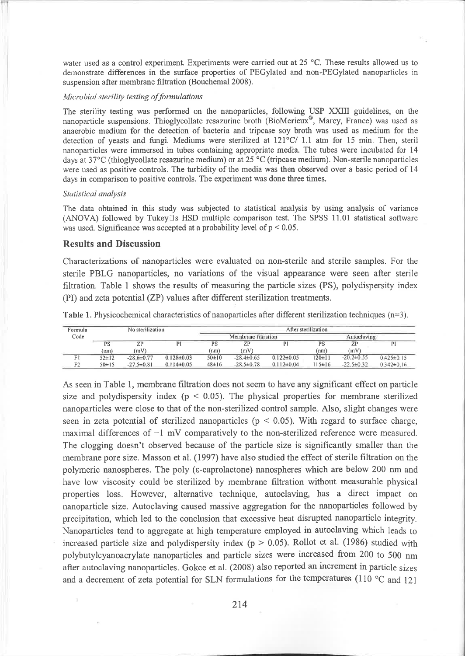water used as a control experiment. Experiments were carried out at 25  $^{\circ}$ C. These results allowed us to demonstrate differences in the surface properties of PEGylated and non-PEGylated nanoparticles in suspension after membrane filtration (Bouchemal 2008).

### Microbial sterility testing of formulations

The sterility testing was performed on the nanoparticles, following USP XXIII guidelines, on the nanoparticle suspensions. Thioglycollate resazurine broth (BioMerieux®, Marcy, France) was used as anaerobic medium for the detection of bacteria and tripcase soy broth was used as medium for the detection of veasts and fungi. Mediums were sterilized at  $121^{\circ}C/1.1$  atm for 15 min. Then, steril nanoparticles were immersed in tubes containing appropriate media. The tubes were incubated for 14 days at 37°C (thioglycollate resazurine medium) or at 25 °C (tripcase medium). Non-sterile nanoparticles were used as positive controls. The turbidity of the media was then observed over a basic period of 14 days in comparison to positive controls. The experiment was done three times.

#### Statistical analysis

The data obtained in this study was subjected to statistical analysis by using analysis of variance (ANOVA) followed by Tukey Is HSD multiple comparison test. The SPSS 11.01 statistical software was used. Significance was accepted at a probability level of  $p < 0.05$ .

## **Results and Discussion**

Characterizations of nanoparticles were evaluated on non-sterile and sterile samples. For the sterile PBLG nanoparticles, no variations of the visual appearance were seen after sterile filtration. Table 1 shows the results of measuring the particle sizes (PS), polydispersity index (PI) and zeta potential (ZP) values after different sterilization treatments.

Table 1. Physicochemical characteristics of nanoparticles after different sterilization techniques  $(n=3)$ .

| Formula | No sterilization |                  |                  | After sterilization |                  |                  |              |                  |                  |
|---------|------------------|------------------|------------------|---------------------|------------------|------------------|--------------|------------------|------------------|
| Code    |                  |                  |                  | Membrane filtration |                  |                  | Autoclaving  |                  |                  |
|         | PS               | ZP               | Þ1               | PS                  |                  |                  | PS           | ZP               | PI               |
|         | (nm)             | (mV)             |                  | (nm)                | (mV)             |                  | (nm)         | (mV)             |                  |
|         | $52 \pm 12$      | $-28.6 \pm 0.77$ | $0.128 \pm 0.03$ | $50 \pm 10$         | $-28.4\pm0.65$   | $0.122 \pm 0.05$ | $120 \pm 11$ | $-20.2 \pm 0.55$ | $0.425 \pm 0.15$ |
| F2      | $50 \pm 15$      | $-27.5 \pm 0.81$ | $0.114\pm0.05$   | $48 \pm 16$         | $-28.5 \pm 0.78$ | $0.112 \pm 0.04$ | $115 \pm 16$ | $-22.5 \pm 0.32$ | $0.342 \pm 0.16$ |

As seen in Table 1, membrane filtration does not seem to have any significant effect on particle size and polydispersity index ( $p < 0.05$ ). The physical properties for membrane sterilized nanoparticles were close to that of the non-sterilized control sample. Also, slight changes were seen in zeta potential of sterilized nanoparticles ( $p < 0.05$ ). With regard to surface charge, maximal differences of  $-1$  mV comparatively to the non-sterilized reference were measured. The clogging doesn't observed because of the particle size is significantly smaller than the membrane pore size. Masson et al. (1997) have also studied the effect of sterile filtration on the polymeric nanospheres. The poly ( $\varepsilon$ -caprolactone) nanospheres which are below 200 nm and have low viscosity could be sterilized by membrane filtration without measurable physical properties loss. However, alternative technique, autoclaving, has a direct impact on nanoparticle size. Autoclaving caused massive aggregation for the nanoparticles followed by precipitation, which led to the conclusion that excessive heat disrupted nanoparticle integrity. Nanoparticles tend to aggregate at high temperature employed in autoclaving which leads to increased particle size and polydispersity index ( $p > 0.05$ ). Rollot et al. (1986) studied with polybutylcyanoacrylate nanoparticles and particle sizes were increased from 200 to 500 nm after autoclaving nanoparticles. Gokce et al. (2008) also reported an increment in particle sizes and a decrement of zeta potential for SLN formulations for the temperatures (110  $^{\circ}$ C and 121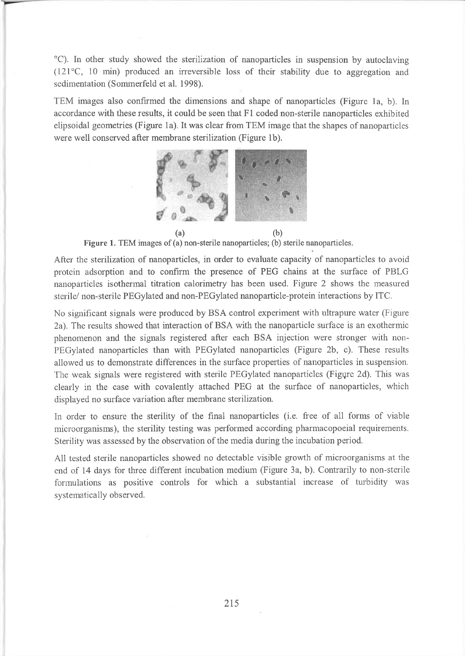"C). In other study showed the sterilization of nanoparticles in suspension by autoclaving  $(121^{\circ}C, 10 \text{ min})$  produced an irreversible loss of their stability due to aggregation and sedimentation (Sommerfeld et al. 1998).

TEM images also confirmed the dimensions and shape of nanoparticles (Figure la, b). In accordance with these results, it could be seen that F1 coded non-sterile nanoparticles exhibited elipsoidal geometries (Figure 1a). It was clear from TEM image that the shapes of nanoparticles were well conserved after membrane sterilization (Figure 1b).



Figure 1. TEM images of (a) non-sterile nanoparticles; (b) sterile nanoparticles.

After the sterilization of nanoparticles, in order to evaluate capacity of nanoparticles to avoid protein adsorption and to confirm the presence of PEG chains at the surface of PBLG nanoparticles isothermal titration calorimetry has been used. Figure 2 shows the measured sterile/ non-sterile PEGylated and non-PEGylated nanoparticle-protein interactions by ITC.

No significant signals were produced by BSA control experiment with ultrapure water (Figure 2a). The results showed that interaction of BSA with the nanoparticle surface is an exothermic phenomenon and the signals registered after each BSA injection were stronger with non-PEGylated nanoparticles than witlı PEGylated naıroparticles (Figure 2b, c). These results allowed us to demonstrate differences in the surface properties of nanoparticles in suspension. The weak signals were registered with sterile PEGylated nanoparticles (Figqre 2d). This was clearly in the case with covalently attached PEG at the surface of nanoparticles, which displayed no surface variation after membrane sterilization.

In order to ensure the sterility of the final nanoparticles (i.e. free of all forms of viable microorganisms), the sterility testing was performed according pharmacopoeial requirements. Sterility was assessed by the observation of the media during the incubation period.

All tested sterile nanoparticles showed no detectable visible growth of microorganisms at the end of 14 days for three different incubation medium (Figure 3a, b). Contrarily to non-sterile formulations as positive controls for which a substantial increase of turbidity was systematically observed.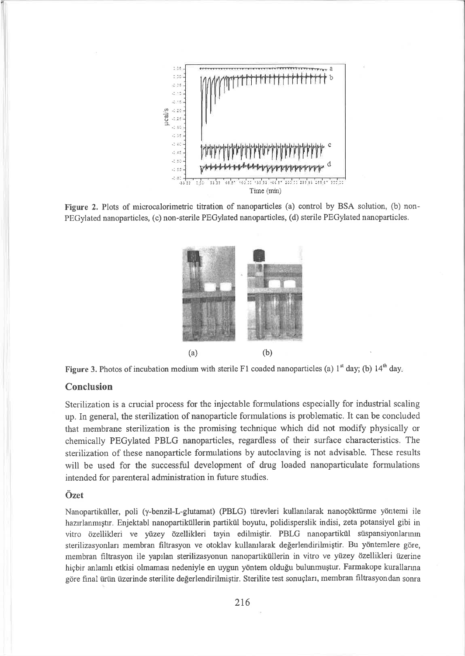

Figure 2. Plots of microcalorimetric titration of nanoparticles (a) control by BSA solution, (b) non-PEGylated nanoparticles, (c) non-sterile PEGylated nanoparticles, (d) sterile PEGylated nanoparticles.





# Conclusion

Sterilization is a crucial process for the injectable formulations especially for industrial scaling up. In general, the sterilization of nanoparticle formulations is problematic. It can be concluded that membrane sterilization is the promising technique which did not modify physically or chemically PEGylated PBLG nanoparticles, regardless of their surface characteristics. The sterilization of these nanoparticle formulations by autoclaving is not advisable. These results will be used for the successful development of drug loaded nanoparticulate formulations intended for parenteral administration in future studies.

## Özet

Nanopartiküller, poli (γ-benzil-L-glutamat) (PBLG) türevleri kullanılarak nanoçöktürme yöntemi ile hazırlanmıştır. Enjektabl nanopartiküllerin partikül boyutu, polidisperslik indisi, zeta potansiyel gibi in vitro özellikleri ve yüzey özellikleri tayin edilmiştir. PBLG nanopartikül süspansiyonlarının sterilizasyonları membran filtrasyon ve otoklav kullanılarak değerlendirilmiştir. Bu yöntemlere göre, membran filtrasyon ile yapılan sterilizasyonun nanopartiküllerin in vitro ve yüzey özellikleri üzerine hiçbir anlamlı etkisi olmaması nedeniyle en uygun yöntem olduğu bulunmuştur. Farmakope kurallarına göre final ürün üzerinde sterilite değerlendirilmiştir. Sterilite test sonuçları, membran filtrasyondan sonra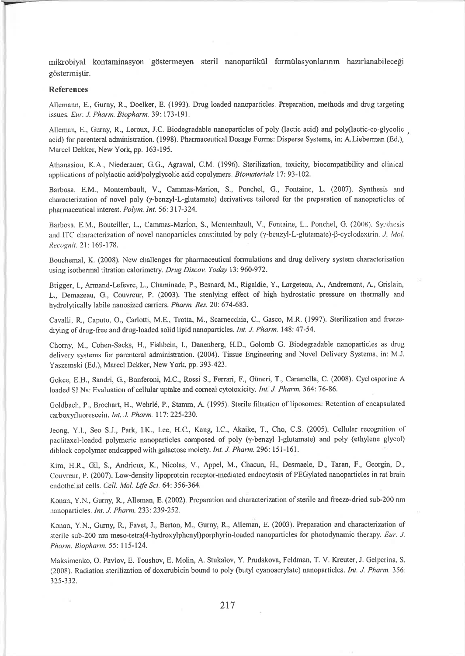mikobiyal kontaminasyon göstermeyen steril nanopartikiil formülasyonlarının hazırlanabileceği gösterııiştir.

#### References

Allemann, E., Gurny, R., Doelker, E. (1993). Drug loaded nanoparticles. Preparation, methods and drug targeting issues. Eur. J. Pharm. Biopharm. 39: 173-191.

Alleman, E., Gurny, R., Leroux, J.C. Biodegradable nanoparticles of poly (lactic acid) and poly(lactic-co-glycolic , acid) for parenteral administration. (1998). Pharmaceutical Dosage Forms: Disperse Systems, in: A.Lieberman (Ed.), Marcel Dekker, New York, pp. 163-195.

Athanasiotı, K.A., Niederauer, G.G., Agrawal, C.M. (1996). Sterilization, toxicity, biocompatibility and clinical applications of polylactic acid/polyglycolic acid copolymers. Biomaterials 17:93-102.

Barbosa, E.M., Montembault, V., Cammas-Marion, S., Ponchel, G., Fontaine, L. (2007). Synthesis aırd characterization of novel poly ( $\gamma$ -benzyl-L-glutamate) derivatives tailored for the preparation of nanoparticles of pharmaceutical interest. Polym. Int. 56: 317-324.

Barbosa, E.M., Bouteiller, L., Cammas-Marion, S., Montembault, V., Fontaine, L., Ponchel, G. (2008). Synthesis and ITC characterization of novel nanoparticles constituted by poly (y-benzyl-L-glutamate)- $\beta$ -cyclodextrin. J. Mol. Recognit. 21: 169-178.

Boııchemal, K. (2008). New challenges for pharmaceutical formulations and drug delivery system characterisation using isothermal titration calorimetry. Drug Discov. Today 13:960-972.

Brigger, I., Armand-Lefewe, L., Chaminade, P., Besnard, M., Rigaldie, Y., Largeteau, A., Andremont, A., Grislain, L., Demazeau, G., Couvreur, P. (2003). The stenlying effect of high hydrostatic pressure on thermally and hydrolytically labile nanosized carriers. Pharm. Res. 20: 674-683.

Cavalli, R., Caputo, O., Carlotti, M.E., Trotta, M., Scarnecchia, C., Gasco, M.R. (1997). Sterilization and freezedrying of drug-free and drug-loaded solid lipid nanoparticles. Int. J. Pharm. 148: 47-54.

Chomy, M., Cohen-Sacks, H., Fishbein, I., Danenberg, H.D., Golomb G. Biodegradable nanoparticles as drug delivery systems for parenteral administration. (2004). Tissue Engineering and Novel Delivery Systems, in: M.J. Yaszeınski (Ed.), Marcel Dekker, New York, pp.393-423.

Gokce, E.H., Sandri, G., Bonferoni, M.C., Rossi S., Ferrari, F., Güneri, T., Caramella, C. (2008). Cyclosporine A loaded SLNs: Evaluation of cellular uptake and corneal cytotoxicity. Int. J. Pharm. 364: 76-86.

Goldbach, P., Brochart, H', Wehrl6, P., Stamm, A. (l995). Sterile filtratioıı of liposomes: Retention of encapsıılated carboxyfluorescein. Int. J. Pharm. 117: 225-230.

Jeong, Y.l., Seo S.J., Park, I.K., Lee, H.C., Kang, I.C., Akaike, T., Cho, C.S. (2005). Cellular recognition of paclitaxel-loaded polymeric nanoparticles composed of poly (y-benzyl l-glutamate) and poly (ethylene glycol) diblock copolymer endcapped with galactose moiety. Int. J. Pharm. 296: 151-161.

Kim, H.R., Gil, S., Andrieux, K., Nicolas, V., Appel, M., Chacun, H., Desmaele, D., Taran, F., Georgin, D., Couvreur, P. (2007). Low-density lipoprotein receptor-mediated endocytosis of PEGylated nanoparticles in rat brain endothelial cells. Cell. Mol. Life Sci. 64: 356-364.

Konan, Y.N., Gurny, R., Alleman, E. (2002). Preparation and characterization of sterile and freeze-dried sub-200 nm nanoparticles. Int. J. Pharm. 233: 239-252.

Konan, Y.N., Gurny, R., Favet, J., Berton, M., Gurny, R., Alleman, E. (2003). Preparation and characterization of sterile sub-200 nm meso-tetra(4-hydroxylphenyl)porphyrin-loaded nanoparticles for photodynamic therapy. Eur. J. Pharm. Biopharm. 55: 115-124.

Maksimenko, O. Pavlov, E. Toushov, E. Molin, A. Stukalov, Y. Prudskova, Feldman, T. V. Kreuter, J. Gelperina, S. (2008). Radiation sterilization of doxorubicin bound to poly (butyl cyanoacrylate) nanoparticles. Int. J. Pharm. 356: 325-332.